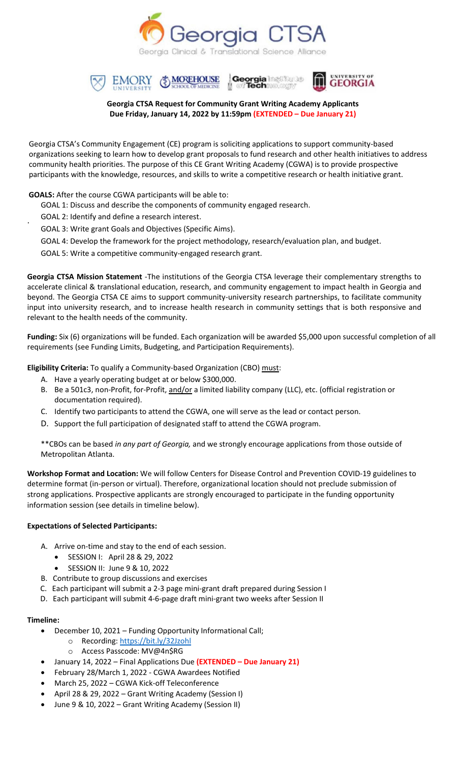







#### **Georgia CTSA Request for Community Grant Writing Academy Applicants Due Friday, January 14, 2022 by 11:59pm (EXTENDED – Due January 21)**

Georgia CTSA's Community Engagement (CE) program is soliciting applications to support community-based organizations seeking to learn how to develop grant proposals to fund research and other health initiatives to address community health priorities. The purpose of this CE Grant Writing Academy (CGWA) is to provide prospective participants with the knowledge, resources, and skills to write a competitive research or health initiative grant.

#### **GOALS:** After the course CGWA participants will be able to:

- GOAL 1: Discuss and describe the components of community engaged research.
- GOAL 2: Identify and define a research interest.

.

- GOAL 3: Write grant Goals and Objectives (Specific Aims).
- GOAL 4: Develop the framework for the project methodology, research/evaluation plan, and budget.
- GOAL 5: Write a competitive community‐engaged research grant.

**Georgia CTSA Mission Statement** ‐The institutions of the Georgia CTSA leverage their complementary strengths to accelerate clinical & translational education, research, and community engagement to impact health in Georgia and beyond. The Georgia CTSA CE aims to support community-university research partnerships, to facilitate community input into university research, and to increase health research in community settings that is both responsive and relevant to the health needs of the community.

**Funding:** Six (6) organizations will be funded. Each organization will be awarded \$5,000 upon successful completion of all requirements (see Funding Limits, Budgeting, and Participation Requirements).

**Eligibility Criteria:** To qualify a Community‐based Organization (CBO) must:

- A. Have a yearly operating budget at or below \$300,000.
- B. Be a 501c3, non-Profit, for-Profit, and/or a limited liability company (LLC), etc. (official registration or documentation required).
- C. Identify two participants to attend the CGWA, one will serve as the lead or contact person.
- D. Support the full participation of designated staff to attend the CGWA program.

\*\*CBOs can be based *in any part of Georgia,* and we strongly encourage applications from those outside of Metropolitan Atlanta.

**Workshop Format and Location:** We will follow Centers for Disease Control and Prevention COVID-19 guidelines to determine format (in-person or virtual). Therefore, organizational location should not preclude submission of strong applications. Prospective applicants are strongly encouraged to participate in the funding opportunity information session (see details in timeline below).

#### **Expectations of Selected Participants:**

- A. Arrive on-time and stay to the end of each session.
	- SESSION I: April 28 & 29, 2022
	- SESSION II: June 9 & 10, 2022
- B. Contribute to group discussions and exercises
- C. Each participant will submit a 2‐3 page mini‐grant draft prepared during Session I
- D. Each participant will submit 4-6-page draft mini-grant two weeks after Session II

#### **Timeline:**

- December 10, 2021 Funding Opportunity Informational Call;
	- o Recording: <https://bit.ly/32Jzohl>
	- o Access Passcode: MV@4n\$RG
- January 14, 2022 Final Applications Due **(EXTENDED – Due January 21)**
- February 28/March 1, 2022 CGWA Awardees Notified
- March 25, 2022 CGWA Kick-off Teleconference
- April 28 & 29, 2022 Grant Writing Academy (Session I)
- June 9 & 10, 2022 Grant Writing Academy (Session II)